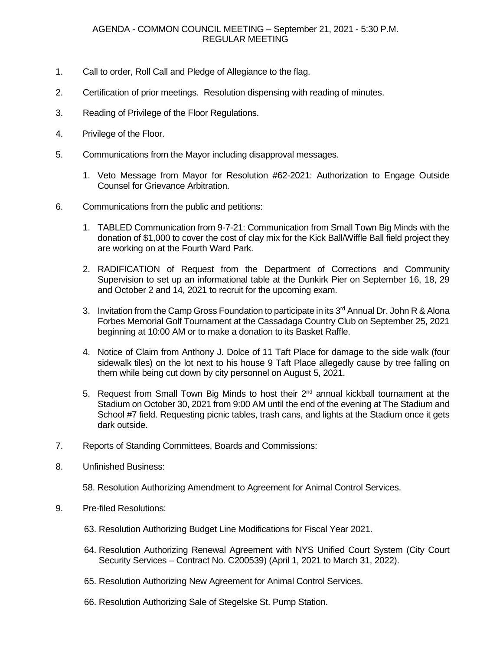- 1. Call to order, Roll Call and Pledge of Allegiance to the flag.
- 2. Certification of prior meetings. Resolution dispensing with reading of minutes.
- 3. Reading of Privilege of the Floor Regulations.
- 4. Privilege of the Floor.
- 5. Communications from the Mayor including disapproval messages.
	- 1. Veto Message from Mayor for Resolution #62-2021: Authorization to Engage Outside Counsel for Grievance Arbitration.
- 6. Communications from the public and petitions:
	- 1. TABLED Communication from 9-7-21: Communication from Small Town Big Minds with the donation of \$1,000 to cover the cost of clay mix for the Kick Ball/Wiffle Ball field project they are working on at the Fourth Ward Park.
	- 2. RADIFICATION of Request from the Department of Corrections and Community Supervision to set up an informational table at the Dunkirk Pier on September 16, 18, 29 and October 2 and 14, 2021 to recruit for the upcoming exam.
	- 3. Invitation from the Camp Gross Foundation to participate in its 3<sup>rd</sup> Annual Dr. John R & Alona Forbes Memorial Golf Tournament at the Cassadaga Country Club on September 25, 2021 beginning at 10:00 AM or to make a donation to its Basket Raffle.
	- 4. Notice of Claim from Anthony J. Dolce of 11 Taft Place for damage to the side walk (four sidewalk tiles) on the lot next to his house 9 Taft Place allegedly cause by tree falling on them while being cut down by city personnel on August 5, 2021.
	- 5. Request from Small Town Big Minds to host their 2<sup>nd</sup> annual kickball tournament at the Stadium on October 30, 2021 from 9:00 AM until the end of the evening at The Stadium and School #7 field. Requesting picnic tables, trash cans, and lights at the Stadium once it gets dark outside.
- 7. Reports of Standing Committees, Boards and Commissions:
- 8. Unfinished Business:

58. Resolution Authorizing Amendment to Agreement for Animal Control Services.

- 9. Pre-filed Resolutions:
	- 63. Resolution Authorizing Budget Line Modifications for Fiscal Year 2021.
	- 64. Resolution Authorizing Renewal Agreement with NYS Unified Court System (City Court Security Services – Contract No. C200539) (April 1, 2021 to March 31, 2022).
	- 65. Resolution Authorizing New Agreement for Animal Control Services.
	- 66. Resolution Authorizing Sale of Stegelske St. Pump Station.